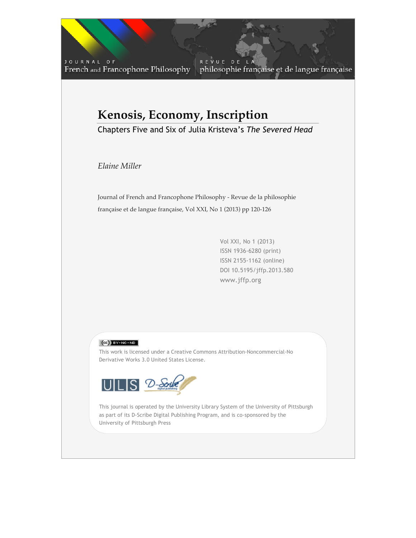JOURNAL OF French and Francophone Philosophy

REVUE DE philosophie française et de langue française

## **Kenosis, Economy, Inscription**

Chapters Five and Six of Julia Kristeva's *The Severed Head*

*Elaine Miller*

Journal of French and Francophone Philosophy - Revue de la philosophie française et de langue française, Vol XXI, No 1 (2013) pp 120-126

> Vol XXI, No 1 (2013) ISSN 1936-6280 (print) ISSN 2155-1162 (online) DOI 10.5195/jffp.2013.580 www.jffp.org

## $(C<sub>c</sub>)$  BY-NC-ND

This work is licensed under a Creative Commons Attribution-Noncommercial-No Derivative Works 3.0 United States License.



as part of its D-Scribe Digital Publishing Program, and is co-sponsored by the This journal is operated by the University Library System of the University of Pittsburgh University of Pittsburgh Press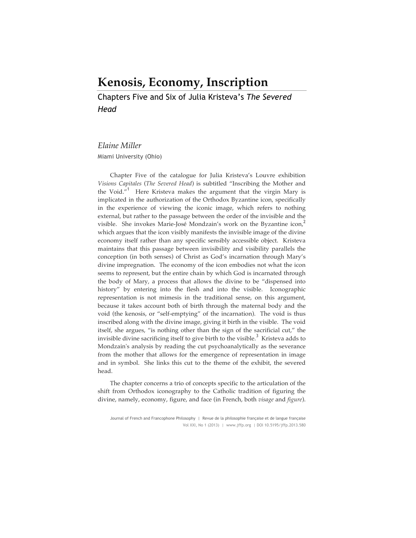## **Kenosis, Economy, Inscription**

Chapters Five and Six of Julia Kristeva's *The Severed Head*

## *Elaine Miller*

Miami University (Ohio)

Chapter Five of the catalogue for Julia Kristeva's Louvre exhibition *Visions Capitales* (*The Severed Head*) is subtitled "Inscribing the Mother and the Void. $i^{1}$  Here Kristeva makes the argument that the virgin Mary is implicated in the authorization of the Orthodox Byzantine icon, specifically in the experience of viewing the iconic image, which refers to nothing external, but rather to the passage between the order of the invisible and the visible. She invokes Marie-José Mondzain's work on the Byzantine icon, which argues that the icon visibly manifests the invisible image of the divine economy itself rather than any specific sensibly accessible object. Kristeva maintains that this passage between invisibility and visibility parallels the conception (in both senses) of Christ as God's incarnation through Mary's divine impregnation. The economy of the icon embodies not what the icon seems to represent, but the entire chain by which God is incarnated through the body of Mary, a process that allows the divine to be "dispensed into history" by entering into the flesh and into the visible. Iconographic representation is not mimesis in the traditional sense, on this argument, because it takes account both of birth through the maternal body and the void (the kenosis, or "self-emptying" of the incarnation). The void is thus inscribed along with the divine image, giving it birth in the visible. The void itself, she argues, "is nothing other than the sign of the sacrificial cut," the invisible divine sacrificing itself to give birth to the visible.<sup>3</sup> Kristeva adds to Mondzain's analysis by reading the cut psychoanalytically as the severance from the mother that allows for the emergence of representation in image and in symbol. She links this cut to the theme of the exhibit, the severed head.

The chapter concerns a trio of concepts specific to the articulation of the shift from Orthodox iconography to the Catholic tradition of figuring the divine, namely, economy, figure, and face (in French, both *visage* and *figure*).

Journal of French and Francophone Philosophy | Revue de la philosophie française et de langue française Vol XXI, No 1 (2013) | www.jffp.org | DOI 10.5195/jffp.2013.580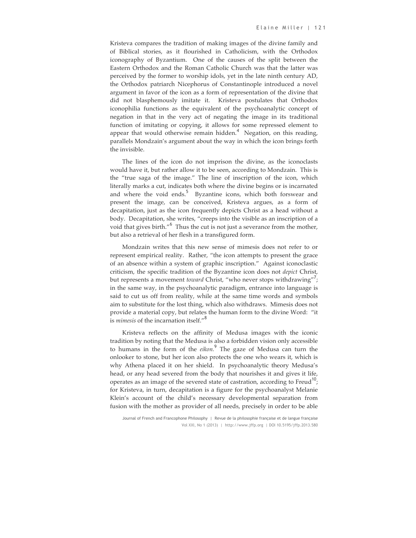Kristeva compares the tradition of making images of the divine family and of Biblical stories, as it flourished in Catholicism, with the Orthodox iconography of Byzantium. One of the causes of the split between the Eastern Orthodox and the Roman Catholic Church was that the latter was perceived by the former to worship idols, yet in the late ninth century AD, the Orthodox patriarch Nicephorus of Constantinople introduced a novel argument in favor of the icon as a form of representation of the divine that did not blasphemously imitate it. Kristeva postulates that Orthodox iconophilia functions as the equivalent of the psychoanalytic concept of negation in that in the very act of negating the image in its traditional function of imitating or copying, it allows for some repressed element to appear that would otherwise remain hidden.<sup>4</sup> Negation, on this reading, parallels Mondzain's argument about the way in which the icon brings forth the invisible.

The lines of the icon do not imprison the divine, as the iconoclasts would have it, but rather allow it to be seen, according to Mondzain. This is the "true saga of the image." The line of inscription of the icon, which literally marks a cut, indicates both where the divine begins or is incarnated and where the void ends.<sup>5</sup> Byzantine icons, which both forswear and present the image, can be conceived, Kristeva argues, as a form of decapitation, just as the icon frequently depicts Christ as a head without a body. Decapitation, she writes, "creeps into the visible as an inscription of a void that gives birth."<sup>6</sup> Thus the cut is not just a severance from the mother, but also a retrieval of her flesh in a transfigured form.

Mondzain writes that this new sense of mimesis does not refer to or represent empirical reality. Rather, "the icon attempts to present the grace of an absence within a system of graphic inscription." Against iconoclastic criticism, the specific tradition of the Byzantine icon does not *depict* Christ, but represents a movement *toward* Christ, "who never stops withdrawing"<sup>7</sup>; in the same way, in the psychoanalytic paradigm, entrance into language is said to cut us off from reality, while at the same time words and symbols aim to substitute for the lost thing, which also withdraws. Mimesis does not provide a material copy, but relates the human form to the divine Word: "it is *mimesis* of the incarnation itself."<sup>8</sup>

Kristeva reflects on the affinity of Medusa images with the iconic tradition by noting that the Medusa is also a forbidden vision only accessible to humans in the form of the *eikon.* <sup>9</sup> The gaze of Medusa can turn the onlooker to stone, but her icon also protects the one who wears it, which is why Athena placed it on her shield. In psychoanalytic theory Medusa's head, or any head severed from the body that nourishes it and gives it life, operates as an image of the severed state of castration, according to Freud<sup>10</sup>; for Kristeva, in turn, decapitation is a figure for the psychoanalyst Melanie Klein's account of the child's necessary developmental separation from fusion with the mother as provider of all needs, precisely in order to be able

Journal of French and Francophone Philosophy | Revue de la philosophie française et de langue française Vol XXI, No 1 (2013) | http://www.jffp.org | DOI 10.5195/jffp.2013.580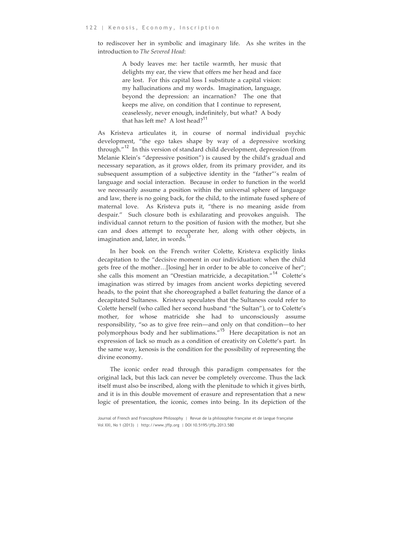to rediscover her in symbolic and imaginary life. As she writes in the introduction to *The Severed Head*:

> A body leaves me: her tactile warmth, her music that delights my ear, the view that offers me her head and face are lost. For this capital loss I substitute a capital vision: my hallucinations and my words. Imagination, language, beyond the depression: an incarnation? The one that keeps me alive, on condition that I continue to represent, ceaselessly, never enough, indefinitely, but what? A body that has left me? A lost head?<sup>11</sup>

As Kristeva articulates it, in course of normal individual psychic development, "the ego takes shape by way of a depressive working through."<sup>12</sup> In this version of standard child development, depression (from Melanie Klein's "depressive position") is caused by the child's gradual and necessary separation, as it grows older, from its primary provider, and its subsequent assumption of a subjective identity in the "father"'s realm of language and social interaction. Because in order to function in the world we necessarily assume a position within the universal sphere of language and law, there is no going back, for the child, to the intimate fused sphere of maternal love. As Kristeva puts it, "there is no meaning aside from despair." Such closure both is exhilarating and provokes anguish. The individual cannot return to the position of fusion with the mother, but she can and does attempt to recuperate her, along with other objects, in imagination and, later, in words.<sup>13</sup>

In her book on the French writer Colette, Kristeva explicitly links decapitation to the "decisive moment in our individuation: when the child gets free of the mother…[losing] her in order to be able to conceive of her"; she calls this moment an "Orestian matricide, a decapitation."<sup>14</sup> Colette's imagination was stirred by images from ancient works depicting severed heads, to the point that she choreographed a ballet featuring the dance of a decapitated Sultaness. Kristeva speculates that the Sultaness could refer to Colette herself (who called her second husband "the Sultan"), or to Colette's mother, for whose matricide she had to unconsciously assume responsibility, "so as to give free rein—and only on that condition—to her polymorphous body and her sublimations."15 Here decapitation is not an expression of lack so much as a condition of creativity on Colette's part. In the same way, kenosis is the condition for the possibility of representing the divine economy.

The iconic order read through this paradigm compensates for the original lack, but this lack can never be completely overcome. Thus the lack itself must also be inscribed, along with the plenitude to which it gives birth, and it is in this double movement of erasure and representation that a new logic of presentation, the iconic, comes into being. In its depiction of the

Journal of French and Francophone Philosophy | Revue de la philosophie française et de langue française Vol XXI, No 1 (2013) | http://www.jffp.org | DOI 10.5195/jffp.2013.580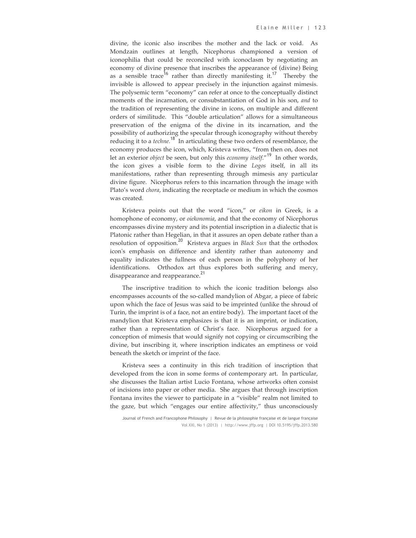divine, the iconic also inscribes the mother and the lack or void. As Mondzain outlines at length, Nicephorus championed a version of iconophilia that could be reconciled with iconoclasm by negotiating an economy of divine presence that inscribes the appearance of (divine) Being as a sensible trace<sup>16</sup> rather than directly manifesting it.<sup>17</sup> Thereby the invisible is allowed to appear precisely in the injunction against mimesis. The polysemic term "economy" can refer at once to the conceptually distinct moments of the incarnation, or consubstantiation of God in his son, *and* to the tradition of representing the divine in icons, on multiple and different orders of similitude. This "double articulation" allows for a simultaneous preservation of the enigma of the divine in its incarnation, and the possibility of authorizing the specular through iconography without thereby reducing it to a *techne*.<sup>18</sup> In articulating these two orders of resemblance, the economy produces the icon, which, Kristeva writes, "from then on, does not let an exterior *object* be seen, but only this *economy itself*."19 In other words, the icon gives a visible form to the divine *Logos* itself, in all its manifestations, rather than representing through mimesis any particular divine figure. Nicephorus refers to this incarnation through the image with Plato's word *chora*, indicating the receptacle or medium in which the cosmos was created*.* 

Kristeva points out that the word "icon," or *eikon* in Greek, is a homophone of economy, or *oiekonomia*, and that the economy of Nicephorus encompasses divine mystery and its potential inscription in a dialectic that is Platonic rather than Hegelian, in that it assures an open debate rather than a resolution of opposition.<sup>20</sup> Kristeva argues in *Black Sun* that the orthodox icon's emphasis on difference and identity rather than autonomy and equality indicates the fullness of each person in the polyphony of her identifications. Orthodox art thus explores both suffering and mercy, disappearance and reappearance.<sup>21</sup>

The inscriptive tradition to which the iconic tradition belongs also encompasses accounts of the so-called mandylion of Abgar, a piece of fabric upon which the face of Jesus was said to be imprinted (unlike the shroud of Turin, the imprint is of a face, not an entire body). The important facet of the mandylion that Kristeva emphasizes is that it is an imprint, or indication, rather than a representation of Christ's face. Nicephorus argued for a conception of mimesis that would signify not copying or circumscribing the divine, but inscribing it, where inscription indicates an emptiness or void beneath the sketch or imprint of the face.

Kristeva sees a continuity in this rich tradition of inscription that developed from the icon in some forms of contemporary art. In particular, she discusses the Italian artist Lucio Fontana, whose artworks often consist of incisions into paper or other media. She argues that through inscription Fontana invites the viewer to participate in a "visible" realm not limited to the gaze, but which "engages our entire affectivity," thus unconsciously

Journal of French and Francophone Philosophy | Revue de la philosophie française et de langue française Vol XXI, No 1 (2013) | http://www.jffp.org | DOI 10.5195/jffp.2013.580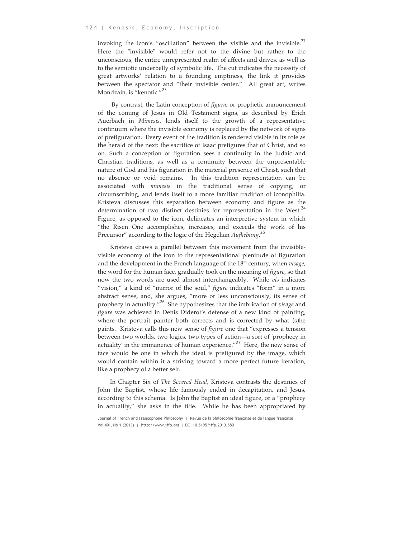invoking the icon's "oscillation" between the visible and the invisible.  $\mu$ Here the "invisible" would refer not to the divine but rather to the unconscious, the entire unrepresented realm of affects and drives, as well as to the semiotic underbelly of symbolic life. The cut indicates the necessity of great artworks' relation to a founding emptiness, the link it provides between the spectator and "their invisible center." All great art, writes Mondzain, is "kenotic."<sup>23</sup>

By contrast, the Latin conception of *figura*, or prophetic announcement of the coming of Jesus in Old Testament signs, as described by Erich Auerbach in *Mimesis*, lends itself to the growth of a representative continuum where the invisible economy is replaced by the network of signs of prefiguration. Every event of the tradition is rendered visible in its role as the herald of the next: the sacrifice of Isaac prefigures that of Christ, and so on. Such a conception of figuration sees a continuity in the Judaic and Christian traditions, as well as a continuity between the unpresentable nature of God and his figuration in the material presence of Christ, such that no absence or void remains. In this tradition representation can be associated with *mimesis* in the traditional sense of copying, or circumscribing, and lends itself to a more familiar tradition of iconophilia. Kristeva discusses this separation between economy and figure as the determination of two distinct destinies for representation in the West. $44$ Figure, as opposed to the icon, delineates an interpretive system in which "the Risen One accomplishes, increases, and exceeds the work of his Precursor" according to the logic of the Hegelian *Aufhebung*. 25

Kristeva draws a parallel between this movement from the invisiblevisible economy of the icon to the representational plenitude of figuration and the development in the French language of the 18th century, when *visage*, the word for the human face, gradually took on the meaning of *figure*, so that now the two words are used almost interchangeably. While *vis* indicates "vision," a kind of "mirror of the soul," *figure* indicates "form" in a more abstract sense, and, she argues, "more or less unconsciously, its sense of prophecy in actuality."26 She hypothesizes that the imbrication of *visage* and *figure* was achieved in Denis Diderot's defense of a new kind of painting, where the portrait painter both corrects and is corrected by what (s)he paints. Kristeva calls this new sense of *figure* one that "expresses a tension between two worlds, two logics, two types of action—a sort of 'prophecy in actuality' in the immanence of human experience." $^{27}$  Here, the new sense of face would be one in which the ideal is prefigured by the image, which would contain within it a striving toward a more perfect future iteration, like a prophecy of a better self.

In Chapter Six of *The Severed Head*, Kristeva contrasts the destinies of John the Baptist, whose life famously ended in decapitation, and Jesus, according to this schema. Is John the Baptist an ideal figure, or a "prophecy in actuality," she asks in the title. While he has been appropriated by

Journal of French and Francophone Philosophy | Revue de la philosophie française et de langue française Vol XXI, No 1 (2013) | http://www.jffp.org | DOI 10.5195/jffp.2013.580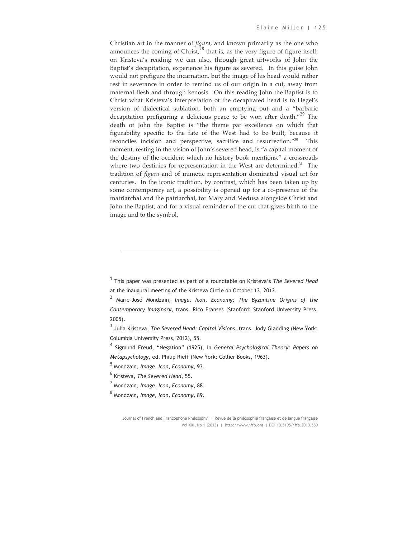Christian art in the manner of *figura*, and known primarily as the one who announces the coming of Christ, $^{28}$  that is, as the very figure of figure itself, on Kristeva's reading we can also, through great artworks of John the Baptist's decapitation, experience his figure as severed. In this guise John would not prefigure the incarnation, but the image of his head would rather rest in severance in order to remind us of our origin in a cut, away from maternal flesh and through kenosis. On this reading John the Baptist is to Christ what Kristeva's interpretation of the decapitated head is to Hegel's version of dialectical sublation, both an emptying out and a "barbaric decapitation prefiguring a delicious peace to be won after death." $^{29}$  The death of John the Baptist is "the theme par excellence on which that figurability specific to the fate of the West had to be built, because it reconciles incision and perspective, sacrifice and resurrection."30 This moment, resting in the vision of John's severed head, is "a capital moment of the destiny of the occident which no history book mentions," a crossroads where two destinies for representation in the West are determined.<sup>31</sup> The tradition of *figura* and of mimetic representation dominated visual art for centuries. In the iconic tradition, by contrast, which has been taken up by some contemporary art, a possibility is opened up for a co-presence of the matriarchal and the patriarchal, for Mary and Medusa alongside Christ and John the Baptist, and for a visual reminder of the cut that gives birth to the image and to the symbol.

 $\overline{a}$ 

<sup>1</sup> This paper was presented as part of a roundtable on Kristeva's *The Severed Head* at the inaugural meeting of the Kristeva Circle on October 13, 2012.

<sup>2</sup> Marie-José Mondzain, *Image, Icon, Economy: The Byzantine Origins of the Contemporary Imaginary*, trans. Rico Franses (Stanford: Stanford University Press, 2005).

<sup>3</sup> Julia Kristeva, *The Severed Head: Capital Visions*, trans. Jody Gladding (New York: Columbia University Press, 2012), 55.

<sup>4</sup> Sigmund Freud, "Negation" (1925), in *General Psychological Theory: Papers on Metapsychology*, ed. Philip Rieff (New York: Collier Books, 1963).

<sup>5</sup> Mondzain, *Image, Icon, Economy,* 93.

<sup>6</sup> Kristeva, *The Severed Head*, 55.

<sup>7</sup> Mondzain, *Image, Icon, Economy*, 88.

<sup>8</sup> Mondzain, *Image, Icon, Economy*, 89.

Journal of French and Francophone Philosophy | Revue de la philosophie française et de langue française Vol XXI, No 1 (2013) | http://www.jffp.org | DOI 10.5195/jffp.2013.580